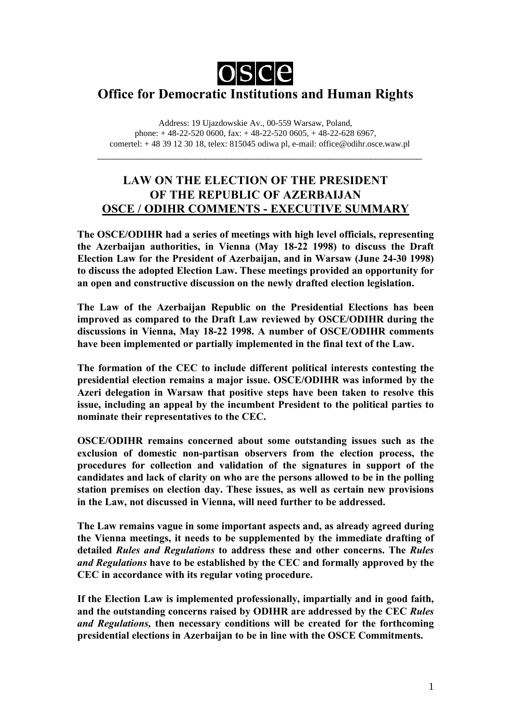

# **Office for Democratic Institutions and Human Rights**

Address: 19 Ujazdowskie Av., 00-559 Warsaw, Poland, phone: + 48-22-520 0600, fax: + 48-22-520 0605, + 48-22-628 6967, comertel: + 48 39 12 30 18, telex: 815045 odiwa pl, e-mail: office@odihr.osce.waw.pl

\_\_\_\_\_\_\_\_\_\_\_\_\_\_\_\_\_\_\_\_\_\_\_\_\_\_\_\_\_\_\_\_\_\_\_\_\_\_\_\_\_\_\_\_\_\_\_\_\_\_\_\_\_\_\_\_\_\_\_\_\_\_\_

# **LAW ON THE ELECTION OF THE PRESIDENT OF THE REPUBLIC OF AZERBAIJAN OSCE / ODIHR COMMENTS - EXECUTIVE SUMMARY**

**The OSCE/ODIHR had a series of meetings with high level officials, representing the Azerbaijan authorities, in Vienna (May 18-22 1998) to discuss the Draft Election Law for the President of Azerbaijan, and in Warsaw (June 24-30 1998) to discuss the adopted Election Law. These meetings provided an opportunity for an open and constructive discussion on the newly drafted election legislation.**

**The Law of the Azerbaijan Republic on the Presidential Elections has been improved as compared to the Draft Law reviewed by OSCE/ODIHR during the discussions in Vienna, May 18-22 1998. A number of OSCE/ODIHR comments have been implemented or partially implemented in the final text of the Law.**

**The formation of the CEC to include different political interests contesting the presidential election remains a major issue. OSCE/ODIHR was informed by the Azeri delegation in Warsaw that positive steps have been taken to resolve this issue, including an appeal by the incumbent President to the political parties to nominate their representatives to the CEC.**

**OSCE/ODIHR remains concerned about some outstanding issues such as the exclusion of domestic non-partisan observers from the election process, the procedures for collection and validation of the signatures in support of the candidates and lack of clarity on who are the persons allowed to be in the polling station premises on election day. These issues, as well as certain new provisions in the Law, not discussed in Vienna, will need further to be addressed.**

**The Law remains vague in some important aspects and, as already agreed during the Vienna meetings, it needs to be supplemented by the immediate drafting of detailed** *Rules and Regulations* **to address these and other concerns. The** *Rules and Regulations* **have to be established by the CEC and formally approved by the CEC in accordance with its regular voting procedure.**

**If the Election Law is implemented professionally, impartially and in good faith, and the outstanding concerns raised by ODIHR are addressed by the CEC** *Rules and Regulations,* **then necessary conditions will be created for the forthcoming presidential elections in Azerbaijan to be in line with the OSCE Commitments.**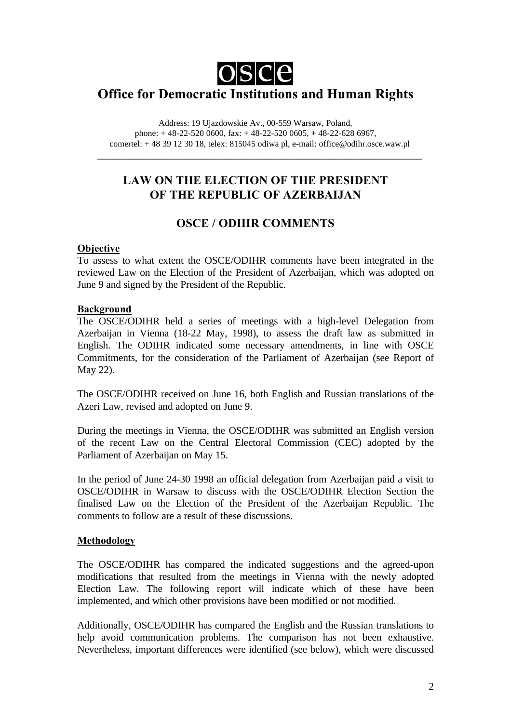

# **Office for Democratic Institutions and Human Rights**

Address: 19 Ujazdowskie Av., 00-559 Warsaw, Poland, phone: + 48-22-520 0600, fax: + 48-22-520 0605, + 48-22-628 6967, comertel: + 48 39 12 30 18, telex: 815045 odiwa pl, e-mail: office@odihr.osce.waw.pl

\_\_\_\_\_\_\_\_\_\_\_\_\_\_\_\_\_\_\_\_\_\_\_\_\_\_\_\_\_\_\_\_\_\_\_\_\_\_\_\_\_\_\_\_\_\_\_\_\_\_\_\_\_\_\_\_\_\_\_\_\_\_\_

# **LAW ON THE ELECTION OF THE PRESIDENT OF THE REPUBLIC OF AZERBAIJAN**

# **OSCE / ODIHR COMMENTS**

## **Objective**

To assess to what extent the OSCE/ODIHR comments have been integrated in the reviewed Law on the Election of the President of Azerbaijan, which was adopted on June 9 and signed by the President of the Republic.

### **Background**

The OSCE/ODIHR held a series of meetings with a high-level Delegation from Azerbaijan in Vienna (18-22 May, 1998), to assess the draft law as submitted in English. The ODIHR indicated some necessary amendments, in line with OSCE Commitments, for the consideration of the Parliament of Azerbaijan (see Report of May 22).

The OSCE/ODIHR received on June 16, both English and Russian translations of the Azeri Law, revised and adopted on June 9.

During the meetings in Vienna, the OSCE/ODIHR was submitted an English version of the recent Law on the Central Electoral Commission (CEC) adopted by the Parliament of Azerbaijan on May 15.

In the period of June 24-30 1998 an official delegation from Azerbaijan paid a visit to OSCE/ODIHR in Warsaw to discuss with the OSCE/ODIHR Election Section the finalised Law on the Election of the President of the Azerbaijan Republic. The comments to follow are a result of these discussions.

# **Methodology**

The OSCE/ODIHR has compared the indicated suggestions and the agreed-upon modifications that resulted from the meetings in Vienna with the newly adopted Election Law. The following report will indicate which of these have been implemented, and which other provisions have been modified or not modified.

Additionally, OSCE/ODIHR has compared the English and the Russian translations to help avoid communication problems. The comparison has not been exhaustive. Nevertheless, important differences were identified (see below), which were discussed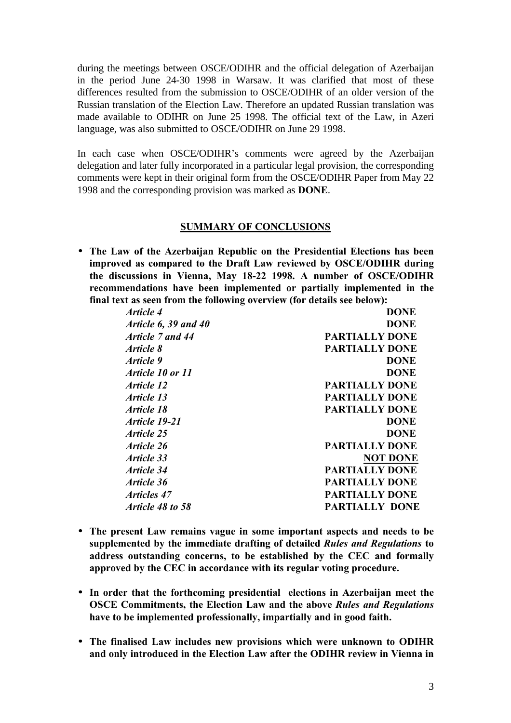during the meetings between OSCE/ODIHR and the official delegation of Azerbaijan in the period June 24-30 1998 in Warsaw. It was clarified that most of these differences resulted from the submission to OSCE/ODIHR of an older version of the Russian translation of the Election Law. Therefore an updated Russian translation was made available to ODIHR on June 25 1998. The official text of the Law, in Azeri language, was also submitted to OSCE/ODIHR on June 29 1998.

In each case when OSCE/ODIHR's comments were agreed by the Azerbaijan delegation and later fully incorporated in a particular legal provision, the corresponding comments were kept in their original form from the OSCE/ODIHR Paper from May 22 1998 and the corresponding provision was marked as **DONE**.

### **SUMMARY OF CONCLUSIONS**

• **The Law of the Azerbaijan Republic on the Presidential Elections has been improved as compared to the Draft Law reviewed by OSCE/ODIHR during the discussions in Vienna, May 18-22 1998. A number of OSCE/ODIHR recommendations have been implemented or partially implemented in the final text as seen from the following overview (for details see below):**

| <i>Article 4</i>         | <b>DONE</b>           |
|--------------------------|-----------------------|
| Article $6, 39$ and $40$ | <b>DONE</b>           |
| Article 7 and 44         | <b>PARTIALLY DONE</b> |
| Article 8                | <b>PARTIALLY DONE</b> |
| Article 9                | <b>DONE</b>           |
| <i>Article 10 or 11</i>  | <b>DONE</b>           |
| <i>Article 12</i>        | <b>PARTIALLY DONE</b> |
| <i><b>Article 13</b></i> | <b>PARTIALLY DONE</b> |
| <i><b>Article 18</b></i> | <b>PARTIALLY DONE</b> |
| Article 19-21            | <b>DONE</b>           |
| Article 25               | <b>DONE</b>           |
| <i><b>Article 26</b></i> | <b>PARTIALLY DONE</b> |
| Article 33               | <b>NOT DONE</b>       |
| Article 34               | <b>PARTIALLY DONE</b> |
| Article 36               | <b>PARTIALLY DONE</b> |
| <i>Articles 47</i>       | <b>PARTIALLY DONE</b> |
| Article 48 to 58         | <b>PARTIALLY DONE</b> |
|                          |                       |

- **The present Law remains vague in some important aspects and needs to be supplemented by the immediate drafting of detailed** *Rules and Regulations* **to address outstanding concerns, to be established by the CEC and formally approved by the CEC in accordance with its regular voting procedure.**
- **In order that the forthcoming presidential elections in Azerbaijan meet the OSCE Commitments, the Election Law and the above** *Rules and Regulations* **have to be implemented professionally, impartially and in good faith.**
- **The finalised Law includes new provisions which were unknown to ODIHR and only introduced in the Election Law after the ODIHR review in Vienna in**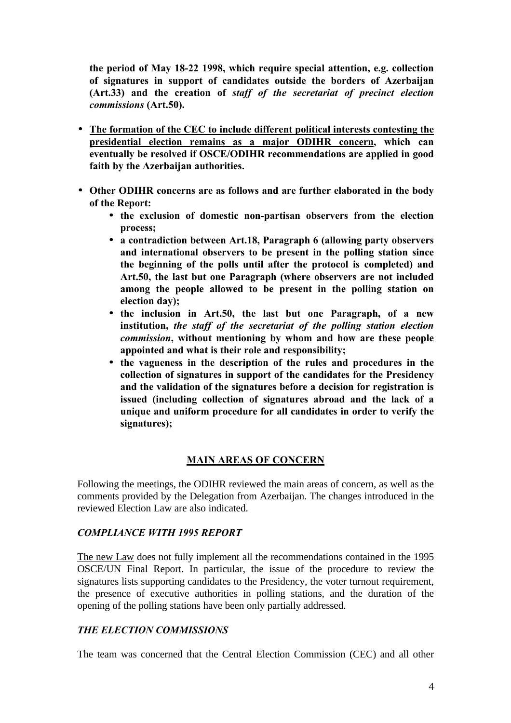**the period of May 18-22 1998, which require special attention, e.g. collection of signatures in support of candidates outside the borders of Azerbaijan (Art.33) and the creation of** *staff of the secretariat of precinct election commissions* **(Art.50).**

- **The formation of the CEC to include different political interests contesting the presidential election remains as a major ODIHR concern, which can eventually be resolved if OSCE/ODIHR recommendations are applied in good faith by the Azerbaijan authorities.**
- **Other ODIHR concerns are as follows and are further elaborated in the body of the Report:**
	- **the exclusion of domestic non-partisan observers from the election process;**
	- **a contradiction between Art.18, Paragraph 6 (allowing party observers and international observers to be present in the polling station since the beginning of the polls until after the protocol is completed) and Art.50, the last but one Paragraph (where observers are not included among the people allowed to be present in the polling station on election day);**
	- **the inclusion in Art.50, the last but one Paragraph, of a new institution,** *the staff of the secretariat of the polling station election commission***, without mentioning by whom and how are these people appointed and what is their role and responsibility;**
	- **the vagueness in the description of the rules and procedures in the collection of signatures in support of the candidates for the Presidency and the validation of the signatures before a decision for registration is issued (including collection of signatures abroad and the lack of a unique and uniform procedure for all candidates in order to verify the signatures);**

### **MAIN AREAS OF CONCERN**

Following the meetings, the ODIHR reviewed the main areas of concern, as well as the comments provided by the Delegation from Azerbaijan. The changes introduced in the reviewed Election Law are also indicated.

### *COMPLIANCE WITH 1995 REPORT*

The new Law does not fully implement all the recommendations contained in the 1995 OSCE/UN Final Report. In particular, the issue of the procedure to review the signatures lists supporting candidates to the Presidency, the voter turnout requirement, the presence of executive authorities in polling stations, and the duration of the opening of the polling stations have been only partially addressed.

### *THE ELECTION COMMISSIONS*

The team was concerned that the Central Election Commission (CEC) and all other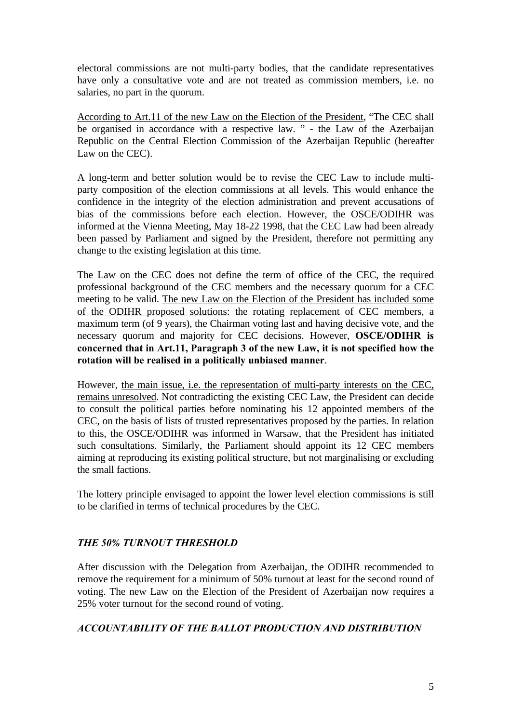electoral commissions are not multi-party bodies, that the candidate representatives have only a consultative vote and are not treated as commission members, i.e. no salaries, no part in the quorum.

According to Art.11 of the new Law on the Election of the President, "The CEC shall be organised in accordance with a respective law. " - the Law of the Azerbaijan Republic on the Central Election Commission of the Azerbaijan Republic (hereafter Law on the CEC).

A long-term and better solution would be to revise the CEC Law to include multiparty composition of the election commissions at all levels. This would enhance the confidence in the integrity of the election administration and prevent accusations of bias of the commissions before each election. However, the OSCE/ODIHR was informed at the Vienna Meeting, May 18-22 1998, that the CEC Law had been already been passed by Parliament and signed by the President, therefore not permitting any change to the existing legislation at this time.

The Law on the CEC does not define the term of office of the CEC, the required professional background of the CEC members and the necessary quorum for a CEC meeting to be valid. The new Law on the Election of the President has included some of the ODIHR proposed solutions: the rotating replacement of CEC members, a maximum term (of 9 years), the Chairman voting last and having decisive vote, and the necessary quorum and majority for CEC decisions. However, **OSCE/ODIHR is concerned that in Art.11, Paragraph 3 of the new Law, it is not specified how the rotation will be realised in a politically unbiased manner**.

However, the main issue, i.e. the representation of multi-party interests on the CEC, remains unresolved. Not contradicting the existing CEC Law, the President can decide to consult the political parties before nominating his 12 appointed members of the CEC, on the basis of lists of trusted representatives proposed by the parties. In relation to this, the OSCE/ODIHR was informed in Warsaw, that the President has initiated such consultations. Similarly, the Parliament should appoint its 12 CEC members aiming at reproducing its existing political structure, but not marginalising or excluding the small factions.

The lottery principle envisaged to appoint the lower level election commissions is still to be clarified in terms of technical procedures by the CEC.

### *THE 50% TURNOUT THRESHOLD*

After discussion with the Delegation from Azerbaijan, the ODIHR recommended to remove the requirement for a minimum of 50% turnout at least for the second round of voting. The new Law on the Election of the President of Azerbaijan now requires a 25% voter turnout for the second round of voting.

### *ACCOUNTABILITY OF THE BALLOT PRODUCTION AND DISTRIBUTION*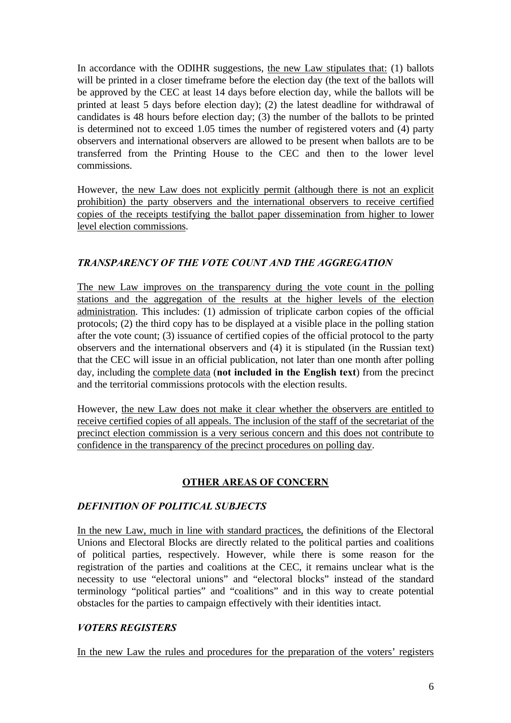In accordance with the ODIHR suggestions, the new Law stipulates that: (1) ballots will be printed in a closer timeframe before the election day (the text of the ballots will be approved by the CEC at least 14 days before election day, while the ballots will be printed at least 5 days before election day); (2) the latest deadline for withdrawal of candidates is 48 hours before election day; (3) the number of the ballots to be printed is determined not to exceed 1.05 times the number of registered voters and (4) party observers and international observers are allowed to be present when ballots are to be transferred from the Printing House to the CEC and then to the lower level commissions.

However, the new Law does not explicitly permit (although there is not an explicit prohibition) the party observers and the international observers to receive certified copies of the receipts testifying the ballot paper dissemination from higher to lower level election commissions.

## *TRANSPARENCY OF THE VOTE COUNT AND THE AGGREGATION*

The new Law improves on the transparency during the vote count in the polling stations and the aggregation of the results at the higher levels of the election administration. This includes: (1) admission of triplicate carbon copies of the official protocols; (2) the third copy has to be displayed at a visible place in the polling station after the vote count; (3) issuance of certified copies of the official protocol to the party observers and the international observers and (4) it is stipulated (in the Russian text) that the CEC will issue in an official publication, not later than one month after polling day, including the complete data (**not included in the English text**) from the precinct and the territorial commissions protocols with the election results.

However, the new Law does not make it clear whether the observers are entitled to receive certified copies of all appeals. The inclusion of the staff of the secretariat of the precinct election commission is a very serious concern and this does not contribute to confidence in the transparency of the precinct procedures on polling day.

# **OTHER AREAS OF CONCERN**

### *DEFINITION OF POLITICAL SUBJECTS*

In the new Law, much in line with standard practices, the definitions of the Electoral Unions and Electoral Blocks are directly related to the political parties and coalitions of political parties, respectively. However, while there is some reason for the registration of the parties and coalitions at the CEC, it remains unclear what is the necessity to use "electoral unions" and "electoral blocks" instead of the standard terminology "political parties" and "coalitions" and in this way to create potential obstacles for the parties to campaign effectively with their identities intact.

# *VOTERS REGISTERS*

In the new Law the rules and procedures for the preparation of the voters' registers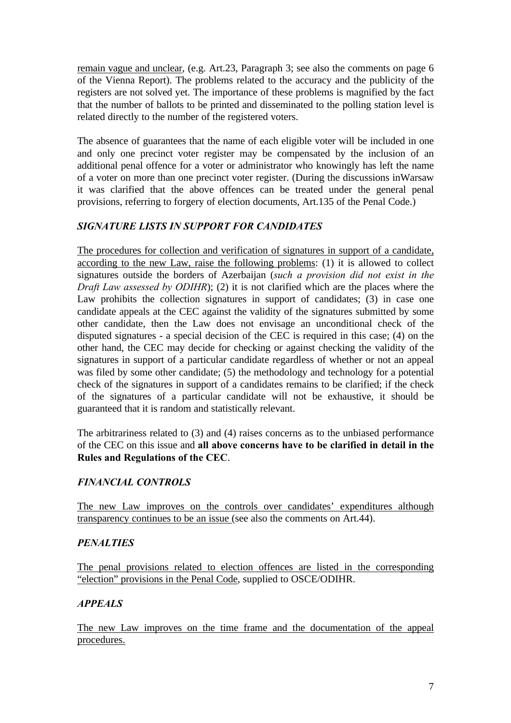remain vague and unclear, (e.g. Art.23, Paragraph 3; see also the comments on page 6 of the Vienna Report). The problems related to the accuracy and the publicity of the registers are not solved yet. The importance of these problems is magnified by the fact that the number of ballots to be printed and disseminated to the polling station level is related directly to the number of the registered voters.

The absence of guarantees that the name of each eligible voter will be included in one and only one precinct voter register may be compensated by the inclusion of an additional penal offence for a voter or administrator who knowingly has left the name of a voter on more than one precinct voter register. (During the discussions inWarsaw it was clarified that the above offences can be treated under the general penal provisions, referring to forgery of election documents, Art.135 of the Penal Code.)

### *SIGNATURE LISTS IN SUPPORT FOR CANDIDATES*

The procedures for collection and verification of signatures in support of a candidate, according to the new Law, raise the following problems: (1) it is allowed to collect signatures outside the borders of Azerbaijan (*such a provision did not exist in the Draft Law assessed by ODIHR*); (2) it is not clarified which are the places where the Law prohibits the collection signatures in support of candidates; (3) in case one candidate appeals at the CEC against the validity of the signatures submitted by some other candidate, then the Law does not envisage an unconditional check of the disputed signatures - a special decision of the CEC is required in this case; (4) on the other hand, the CEC may decide for checking or against checking the validity of the signatures in support of a particular candidate regardless of whether or not an appeal was filed by some other candidate; (5) the methodology and technology for a potential check of the signatures in support of a candidates remains to be clarified; if the check of the signatures of a particular candidate will not be exhaustive, it should be guaranteed that it is random and statistically relevant.

The arbitrariness related to (3) and (4) raises concerns as to the unbiased performance of the CEC on this issue and **all above concerns have to be clarified in detail in the Rules and Regulations of the CEC**.

### *FINANCIAL CONTROLS*

The new Law improves on the controls over candidates' expenditures although transparency continues to be an issue (see also the comments on Art.44).

### *PENALTIES*

The penal provisions related to election offences are listed in the corresponding "election" provisions in the Penal Code, supplied to OSCE/ODIHR.

### *APPEALS*

The new Law improves on the time frame and the documentation of the appeal procedures.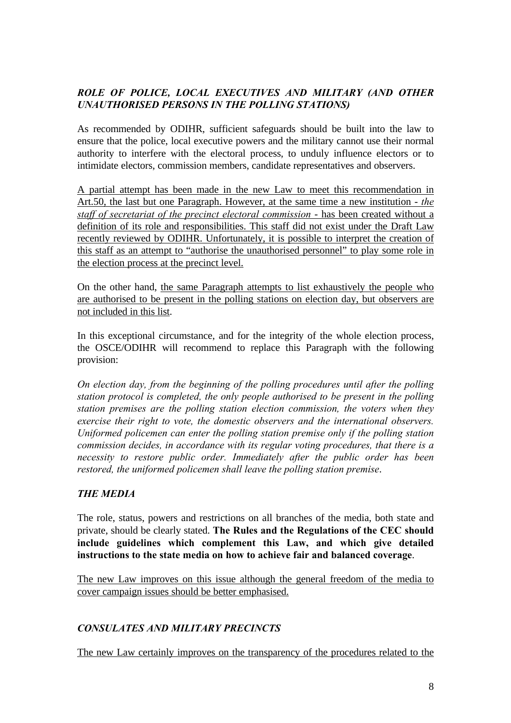# *ROLE OF POLICE, LOCAL EXECUTIVES AND MILITARY (AND OTHER UNAUTHORISED PERSONS IN THE POLLING STATIONS)*

As recommended by ODIHR, sufficient safeguards should be built into the law to ensure that the police, local executive powers and the military cannot use their normal authority to interfere with the electoral process, to unduly influence electors or to intimidate electors, commission members, candidate representatives and observers.

A partial attempt has been made in the new Law to meet this recommendation in Art.50, the last but one Paragraph. However, at the same time a new institution - *the staff of secretariat of the precinct electoral commission* - has been created without a definition of its role and responsibilities. This staff did not exist under the Draft Law recently reviewed by ODIHR. Unfortunately, it is possible to interpret the creation of this staff as an attempt to "authorise the unauthorised personnel" to play some role in the election process at the precinct level.

On the other hand, the same Paragraph attempts to list exhaustively the people who are authorised to be present in the polling stations on election day, but observers are not included in this list.

In this exceptional circumstance, and for the integrity of the whole election process, the OSCE/ODIHR will recommend to replace this Paragraph with the following provision:

*On election day, from the beginning of the polling procedures until after the polling station protocol is completed, the only people authorised to be present in the polling station premises are the polling station election commission, the voters when they exercise their right to vote, the domestic observers and the international observers. Uniformed policemen can enter the polling station premise only if the polling station commission decides, in accordance with its regular voting procedures, that there is a necessity to restore public order. Immediately after the public order has been restored, the uniformed policemen shall leave the polling station premise*.

### *THE MEDIA*

The role, status, powers and restrictions on all branches of the media, both state and private, should be clearly stated. **The Rules and the Regulations of the CEC should include guidelines which complement this Law, and which give detailed instructions to the state media on how to achieve fair and balanced coverage**.

The new Law improves on this issue although the general freedom of the media to cover campaign issues should be better emphasised.

# *CONSULATES AND MILITARY PRECINCTS*

The new Law certainly improves on the transparency of the procedures related to the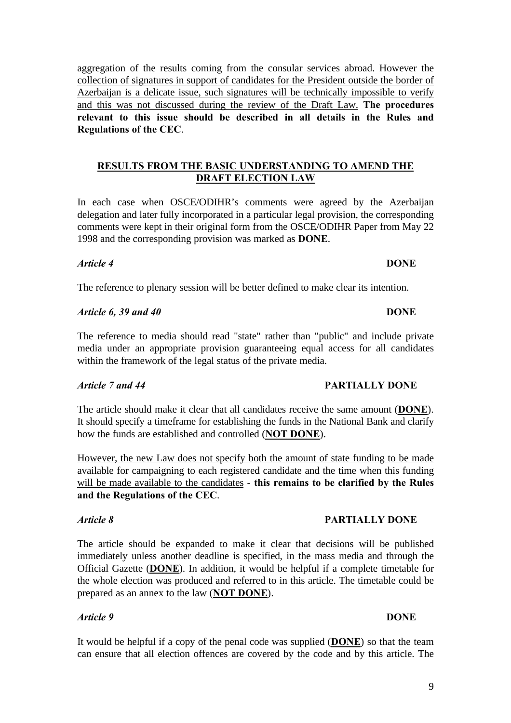aggregation of the results coming from the consular services abroad. However the collection of signatures in support of candidates for the President outside the border of Azerbaijan is a delicate issue, such signatures will be technically impossible to verify and this was not discussed during the review of the Draft Law. **The procedures relevant to this issue should be described in all details in the Rules and Regulations of the CEC**.

## **RESULTS FROM THE BASIC UNDERSTANDING TO AMEND THE DRAFT ELECTION LAW**

In each case when OSCE/ODIHR's comments were agreed by the Azerbaijan delegation and later fully incorporated in a particular legal provision, the corresponding comments were kept in their original form from the OSCE/ODIHR Paper from May 22 1998 and the corresponding provision was marked as **DONE**.

### *Article 4* **DONE**

The reference to plenary session will be better defined to make clear its intention.

## *Article 6, 39 and 40* **DONE**

The reference to media should read "state" rather than "public" and include private media under an appropriate provision guaranteeing equal access for all candidates within the framework of the legal status of the private media.

The article should make it clear that all candidates receive the same amount (**DONE**). It should specify a timeframe for establishing the funds in the National Bank and clarify how the funds are established and controlled (**NOT DONE**).

However, the new Law does not specify both the amount of state funding to be made available for campaigning to each registered candidate and the time when this funding will be made available to the candidates - **this remains to be clarified by the Rules and the Regulations of the CEC**.

The article should be expanded to make it clear that decisions will be published immediately unless another deadline is specified, in the mass media and through the Official Gazette (**DONE**). In addition, it would be helpful if a complete timetable for the whole election was produced and referred to in this article. The timetable could be prepared as an annex to the law (**NOT DONE**).

### *Article 9* **DONE**

It would be helpful if a copy of the penal code was supplied (**DONE**) so that the team can ensure that all election offences are covered by the code and by this article. The

### *Article 7 and 44* **PARTIALLY DONE**

### *Article 8* **PARTIALLY DONE**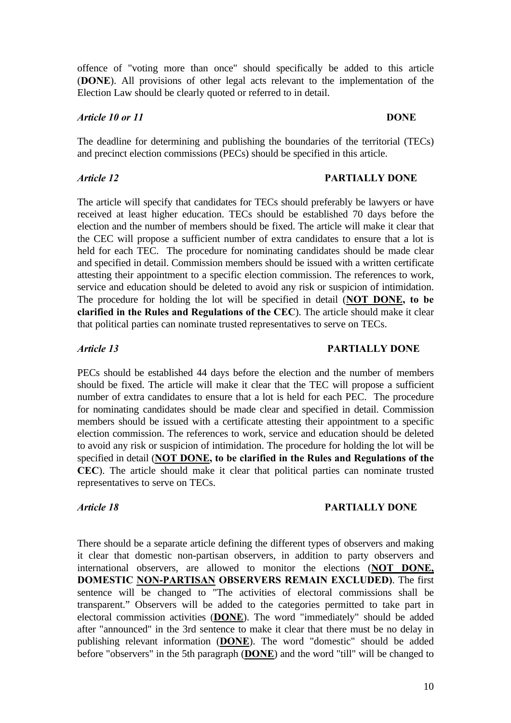offence of "voting more than once" should specifically be added to this article (**DONE**). All provisions of other legal acts relevant to the implementation of the Election Law should be clearly quoted or referred to in detail.

### *Article 10 or 11* **DONE**

The deadline for determining and publishing the boundaries of the territorial (TECs) and precinct election commissions (PECs) should be specified in this article.

### *Article 12* **PARTIALLY DONE**

The article will specify that candidates for TECs should preferably be lawyers or have received at least higher education. TECs should be established 70 days before the election and the number of members should be fixed. The article will make it clear that the CEC will propose a sufficient number of extra candidates to ensure that a lot is held for each TEC. The procedure for nominating candidates should be made clear and specified in detail. Commission members should be issued with a written certificate attesting their appointment to a specific election commission. The references to work, service and education should be deleted to avoid any risk or suspicion of intimidation. The procedure for holding the lot will be specified in detail (**NOT DONE, to be clarified in the Rules and Regulations of the CEC**). The article should make it clear that political parties can nominate trusted representatives to serve on TECs.

### *Article 13* **PARTIALLY DONE**

PECs should be established 44 days before the election and the number of members should be fixed. The article will make it clear that the TEC will propose a sufficient number of extra candidates to ensure that a lot is held for each PEC. The procedure for nominating candidates should be made clear and specified in detail. Commission members should be issued with a certificate attesting their appointment to a specific election commission. The references to work, service and education should be deleted to avoid any risk or suspicion of intimidation. The procedure for holding the lot will be specified in detail (**NOT DONE, to be clarified in the Rules and Regulations of the CEC**). The article should make it clear that political parties can nominate trusted representatives to serve on TECs.

### *Article 18* **PARTIALLY DONE**

There should be a separate article defining the different types of observers and making it clear that domestic non-partisan observers, in addition to party observers and international observers, are allowed to monitor the elections (**NOT DONE, DOMESTIC NON-PARTISAN OBSERVERS REMAIN EXCLUDED)**. The first sentence will be changed to "The activities of electoral commissions shall be transparent." Observers will be added to the categories permitted to take part in electoral commission activities (**DONE**). The word "immediately" should be added after "announced" in the 3rd sentence to make it clear that there must be no delay in publishing relevant information (**DONE**). The word "domestic" should be added before "observers" in the 5th paragraph (**DONE**) and the word "till" will be changed to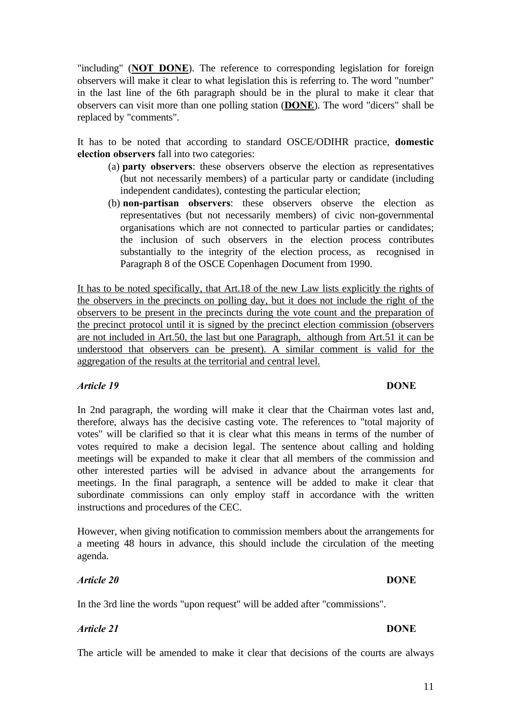"including" (**NOT DONE**). The reference to corresponding legislation for foreign observers will make it clear to what legislation this is referring to. The word "number" in the last line of the 6th paragraph should be in the plural to make it clear that observers can visit more than one polling station (**DONE**). The word "dicers" shall be replaced by "comments".

It has to be noted that according to standard OSCE/ODIHR practice, **domestic election observers** fall into two categories:

- (a) **party observers**: these observers observe the election as representatives (but not necessarily members) of a particular party or candidate (including independent candidates), contesting the particular election;
- (b) **non-partisan observers**: these observers observe the election as representatives (but not necessarily members) of civic non-governmental organisations which are not connected to particular parties or candidates; the inclusion of such observers in the election process contributes substantially to the integrity of the election process, as recognised in Paragraph 8 of the OSCE Copenhagen Document from 1990.

It has to be noted specifically, that Art.18 of the new Law lists explicitly the rights of the observers in the precincts on polling day, but it does not include the right of the observers to be present in the precincts during the vote count and the preparation of the precinct protocol until it is signed by the precinct election commission (observers are not included in Art.50, the last but one Paragraph, although from Art.51 it can be understood that observers can be present). A similar comment is valid for the aggregation of the results at the territorial and central level.

### *Article 19* **DONE**

In 2nd paragraph, the wording will make it clear that the Chairman votes last and, therefore, always has the decisive casting vote. The references to "total majority of votes" will be clarified so that it is clear what this means in terms of the number of votes required to make a decision legal. The sentence about calling and holding meetings will be expanded to make it clear that all members of the commission and other interested parties will be advised in advance about the arrangements for meetings. In the final paragraph, a sentence will be added to make it clear that subordinate commissions can only employ staff in accordance with the written instructions and procedures of the CEC.

However, when giving notification to commission members about the arrangements for a meeting 48 hours in advance, this should include the circulation of the meeting agenda.

### *Article 20* **DONE**

In the 3rd line the words "upon request" will be added after "commissions".

### *Article 21* **DONE**

The article will be amended to make it clear that decisions of the courts are always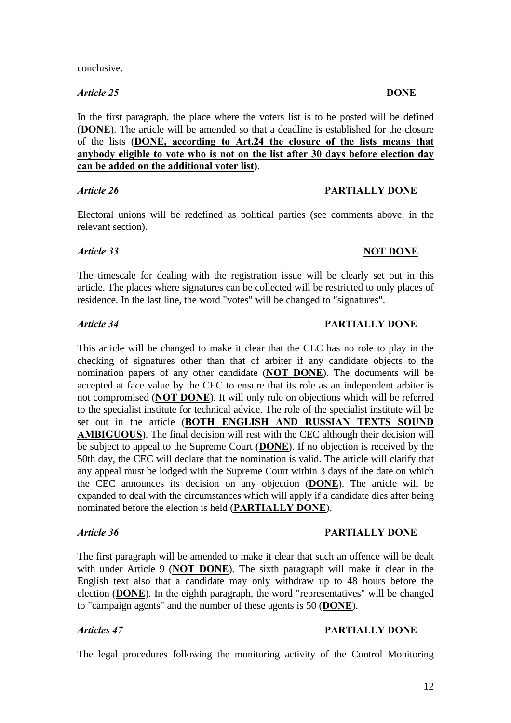*Article 25* **DONE**

In the first paragraph, the place where the voters list is to be posted will be defined (**DONE**). The article will be amended so that a deadline is established for the closure of the lists (**DONE, according to Art.24 the closure of the lists means that anybody eligible to vote who is not on the list after 30 days before election day can be added on the additional voter list**).

*Article 26* **PARTIALLY DONE**

Electoral unions will be redefined as political parties (see comments above, in the relevant section).

## *Article 33* NOT DONE

The timescale for dealing with the registration issue will be clearly set out in this article. The places where signatures can be collected will be restricted to only places of residence. In the last line, the word "votes" will be changed to "signatures".

### *Article 34* **PARTIALLY DONE**

This article will be changed to make it clear that the CEC has no role to play in the checking of signatures other than that of arbiter if any candidate objects to the nomination papers of any other candidate (**NOT DONE**). The documents will be accepted at face value by the CEC to ensure that its role as an independent arbiter is not compromised (**NOT DONE**). It will only rule on objections which will be referred to the specialist institute for technical advice. The role of the specialist institute will be set out in the article (**BOTH ENGLISH AND RUSSIAN TEXTS SOUND AMBIGUOUS**). The final decision will rest with the CEC although their decision will be subject to appeal to the Supreme Court (**DONE**). If no objection is received by the 50th day, the CEC will declare that the nomination is valid. The article will clarify that any appeal must be lodged with the Supreme Court within 3 days of the date on which the CEC announces its decision on any objection (**DONE**). The article will be expanded to deal with the circumstances which will apply if a candidate dies after being nominated before the election is held (**PARTIALLY DONE**).

### *Article 36* **PARTIALLY DONE**

The first paragraph will be amended to make it clear that such an offence will be dealt with under Article 9 (**NOT DONE**). The sixth paragraph will make it clear in the English text also that a candidate may only withdraw up to 48 hours before the election (**DONE**). In the eighth paragraph, the word "representatives" will be changed to "campaign agents" and the number of these agents is 50 (**DONE**).

# *Articles 47* **PARTIALLY DONE**

The legal procedures following the monitoring activity of the Control Monitoring